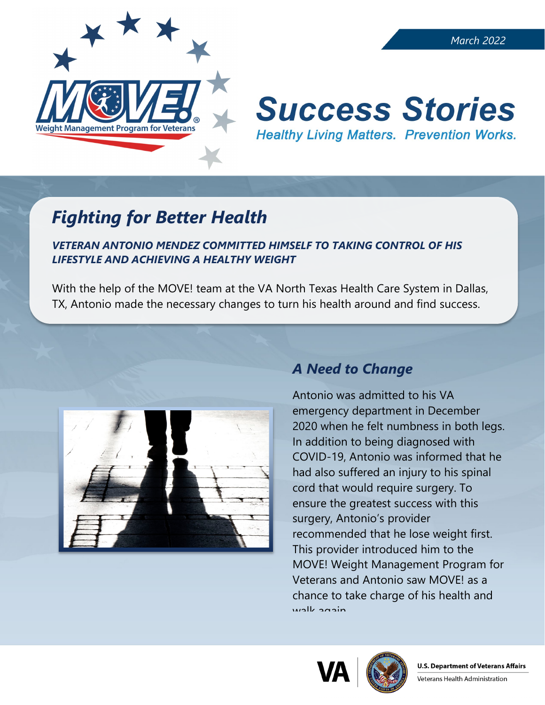

#### *March 2022*

# **Success Stories Healthy Living Matters. Prevention Works.**

## *Fighting for Better Health*

#### *VETERAN ANTONIO MENDEZ COMMITTED HIMSELF TO TAKING CONTROL OF HIS LIFESTYLE AND ACHIEVING A HEALTHY WEIGHT*

With the help of the MOVE! team at the VA North Texas Health Care System in Dallas, TX, Antonio made the necessary changes to turn his health around and find success.



## *A Need to Change*

Antonio was admitted to his VA emergency department in December 2020 when he felt numbness in both legs. In addition to being diagnosed with COVID-19, Antonio was informed that he had also suffered an injury to his spinal cord that would require surgery. To ensure the greatest success with this surgery, Antonio's provider recommended that he lose weight first. This provider introduced him to the MOVE! Weight Management Program for Veterans and Antonio saw MOVE! as a chance to take charge of his health and walk again





Veterans Health Administration